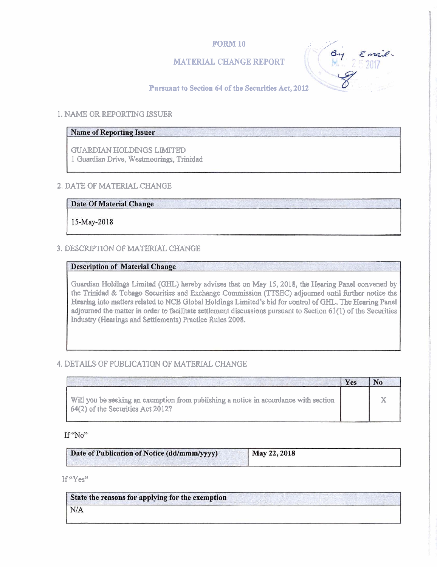# **FORM 10**

# MATERIAL CHANGE REPORT



### Pursuant to Section 64 of the Securities Act, 2012

#### 1. NAME OR REPORTING ISSUER

# **Name of Reporting Issuer**

GUARDIAN HOLDINGS LIMITED 1 Guardian **Drive, Westmoorings,** Trinidad

### **2. DATE OF MATERIAL CHANGE**

**Date Of Material Change** 

15-May-2018

# 3. DESCRIPTION OF MATERIAL CHANGE

#### **Description of Material Change**

Guardian Holdings Limited (GHL) hereby advises that on May 15, 2018, the Hearing Panel convened by the Trinidad & Tobago Securities and Exchange Commission (TTSEC) adjourned until further notice the Hearing into matters related to NCB Global Holdings Limited's bid for control of GHL. The Hearing Panel adjourned the matter in order to facilitate settlement discussions pursuant to Section 61(1) of the Securities **Industry** (Hearings and Settlements) **Practice Rules 2008.** 

# 4. DETAILS **OF** PUBLICATION OF MATERIAL CHANGE

|                                                                                                                           | Yes |  |
|---------------------------------------------------------------------------------------------------------------------------|-----|--|
| Will you be seeking an exemption from publishing a notice in accordance with section<br>64(2) of the Securities Act 2012? |     |  |

#### If "No"

| Date of Publication of Notice (dd/mmm/yyyy) | May 22, 2018 |
|---------------------------------------------|--------------|
|                                             |              |

If "Yes"

| State the reasons for applying for the exemption |  |  |  |
|--------------------------------------------------|--|--|--|
| N/A                                              |  |  |  |
|                                                  |  |  |  |